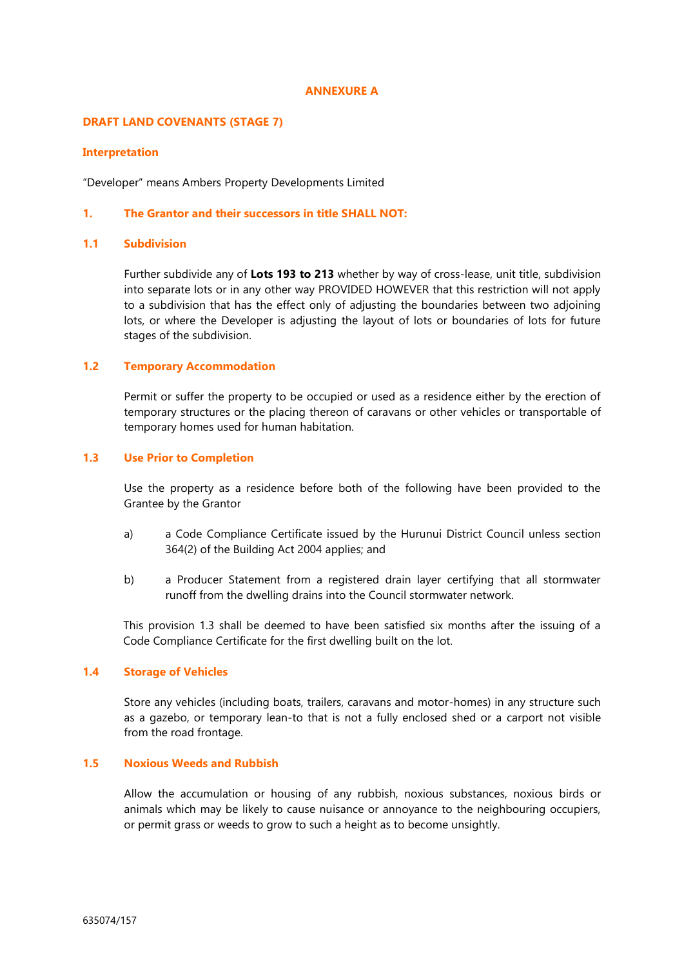#### **ANNEXURE A**

## **DRAFT LAND COVENANTS (STAGE 7)**

### **Interpretation**

"Developer" means Ambers Property Developments Limited

## **1. The Grantor and their successors in title SHALL NOT:**

# **1.1 Subdivision**

Further subdivide any of **Lots 193 to 213** whether by way of cross-lease, unit title, subdivision into separate lots or in any other way PROVIDED HOWEVER that this restriction will not apply to a subdivision that has the effect only of adjusting the boundaries between two adjoining lots, or where the Developer is adjusting the layout of lots or boundaries of lots for future stages of the subdivision.

## **1.2 Temporary Accommodation**

Permit or suffer the property to be occupied or used as a residence either by the erection of temporary structures or the placing thereon of caravans or other vehicles or transportable of temporary homes used for human habitation.

## **1.3 Use Prior to Completion**

Use the property as a residence before both of the following have been provided to the Grantee by the Grantor

- a) a Code Compliance Certificate issued by the Hurunui District Council unless section 364(2) of the Building Act 2004 applies; and
- b) a Producer Statement from a registered drain layer certifying that all stormwater runoff from the dwelling drains into the Council stormwater network.

This provision 1.3 shall be deemed to have been satisfied six months after the issuing of a Code Compliance Certificate for the first dwelling built on the lot.

# **1.4 Storage of Vehicles**

Store any vehicles (including boats, trailers, caravans and motor-homes) in any structure such as a gazebo, or temporary lean-to that is not a fully enclosed shed or a carport not visible from the road frontage.

## **1.5 Noxious Weeds and Rubbish**

Allow the accumulation or housing of any rubbish, noxious substances, noxious birds or animals which may be likely to cause nuisance or annoyance to the neighbouring occupiers, or permit grass or weeds to grow to such a height as to become unsightly.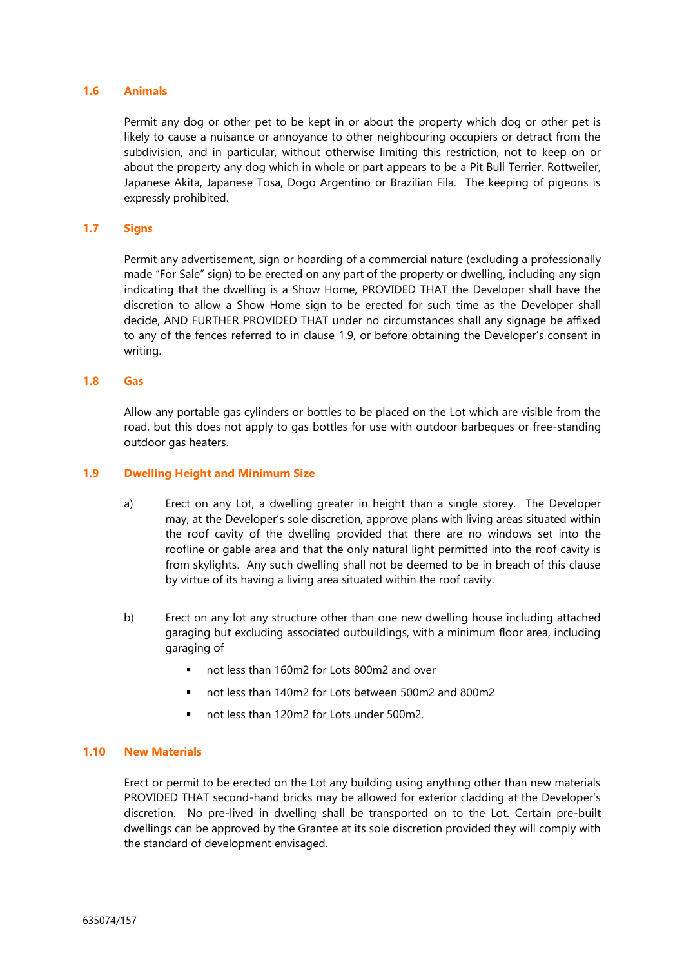## **1.6 Animals**

Permit any dog or other pet to be kept in or about the property which dog or other pet is likely to cause a nuisance or annoyance to other neighbouring occupiers or detract from the subdivision, and in particular, without otherwise limiting this restriction, not to keep on or about the property any dog which in whole or part appears to be a Pit Bull Terrier, Rottweiler, Japanese Akita, Japanese Tosa, Dogo Argentino or Brazilian Fila. The keeping of pigeons is expressly prohibited.

## **1.7 Signs**

Permit any advertisement, sign or hoarding of a commercial nature (excluding a professionally made "For Sale" sign) to be erected on any part of the property or dwelling, including any sign indicating that the dwelling is a Show Home, PROVIDED THAT the Developer shall have the discretion to allow a Show Home sign to be erected for such time as the Developer shall decide, AND FURTHER PROVIDED THAT under no circumstances shall any signage be affixed to any of the fences referred to in clause 1.9, or before obtaining the Developer's consent in writing.

#### **1.8 Gas**

Allow any portable gas cylinders or bottles to be placed on the Lot which are visible from the road, but this does not apply to gas bottles for use with outdoor barbeques or free-standing outdoor gas heaters.

## **1.9 Dwelling Height and Minimum Size**

- a) Erect on any Lot, a dwelling greater in height than a single storey. The Developer may, at the Developer's sole discretion, approve plans with living areas situated within the roof cavity of the dwelling provided that there are no windows set into the roofline or gable area and that the only natural light permitted into the roof cavity is from skylights. Any such dwelling shall not be deemed to be in breach of this clause by virtue of its having a living area situated within the roof cavity.
- b) Erect on any lot any structure other than one new dwelling house including attached garaging but excluding associated outbuildings, with a minimum floor area, including garaging of
	- not less than 160m2 for Lots 800m2 and over
	- not less than 140m2 for Lots between 500m2 and 800m2
	- not less than 120m2 for Lots under 500m2.

## **1.10 New Materials**

Erect or permit to be erected on the Lot any building using anything other than new materials PROVIDED THAT second-hand bricks may be allowed for exterior cladding at the Developer's discretion. No pre-lived in dwelling shall be transported on to the Lot. Certain pre-built dwellings can be approved by the Grantee at its sole discretion provided they will comply with the standard of development envisaged.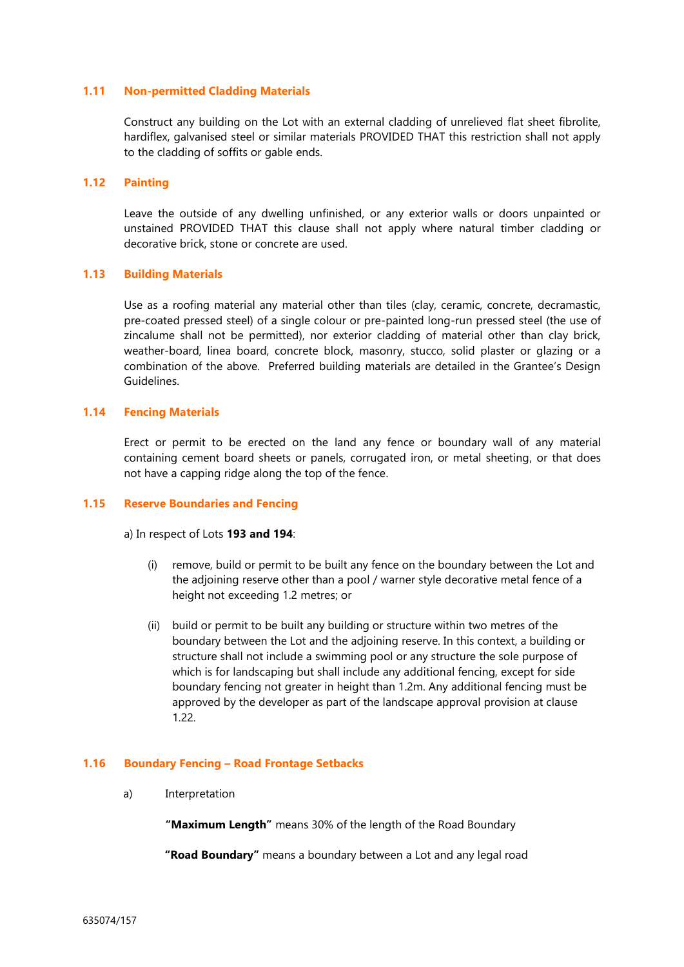## **1.11 Non-permitted Cladding Materials**

Construct any building on the Lot with an external cladding of unrelieved flat sheet fibrolite, hardiflex, galvanised steel or similar materials PROVIDED THAT this restriction shall not apply to the cladding of soffits or gable ends.

# **1.12 Painting**

Leave the outside of any dwelling unfinished, or any exterior walls or doors unpainted or unstained PROVIDED THAT this clause shall not apply where natural timber cladding or decorative brick, stone or concrete are used.

#### **1.13 Building Materials**

Use as a roofing material any material other than tiles (clay, ceramic, concrete, decramastic, pre-coated pressed steel) of a single colour or pre-painted long-run pressed steel (the use of zincalume shall not be permitted), nor exterior cladding of material other than clay brick, weather-board, linea board, concrete block, masonry, stucco, solid plaster or glazing or a combination of the above. Preferred building materials are detailed in the Grantee's Design Guidelines.

## **1.14 Fencing Materials**

Erect or permit to be erected on the land any fence or boundary wall of any material containing cement board sheets or panels, corrugated iron, or metal sheeting, or that does not have a capping ridge along the top of the fence.

#### **1.15 Reserve Boundaries and Fencing**

a) In respect of Lots **193 and 194**:

- (i) remove, build or permit to be built any fence on the boundary between the Lot and the adjoining reserve other than a pool / warner style decorative metal fence of a height not exceeding 1.2 metres; or
- (ii) build or permit to be built any building or structure within two metres of the boundary between the Lot and the adjoining reserve. In this context, a building or structure shall not include a swimming pool or any structure the sole purpose of which is for landscaping but shall include any additional fencing, except for side boundary fencing not greater in height than 1.2m. Any additional fencing must be approved by the developer as part of the landscape approval provision at clause 1.22.

#### **1.16 Boundary Fencing – Road Frontage Setbacks**

a) Interpretation

**"Maximum Length"** means 30% of the length of the Road Boundary

**"Road Boundary"** means a boundary between a Lot and any legal road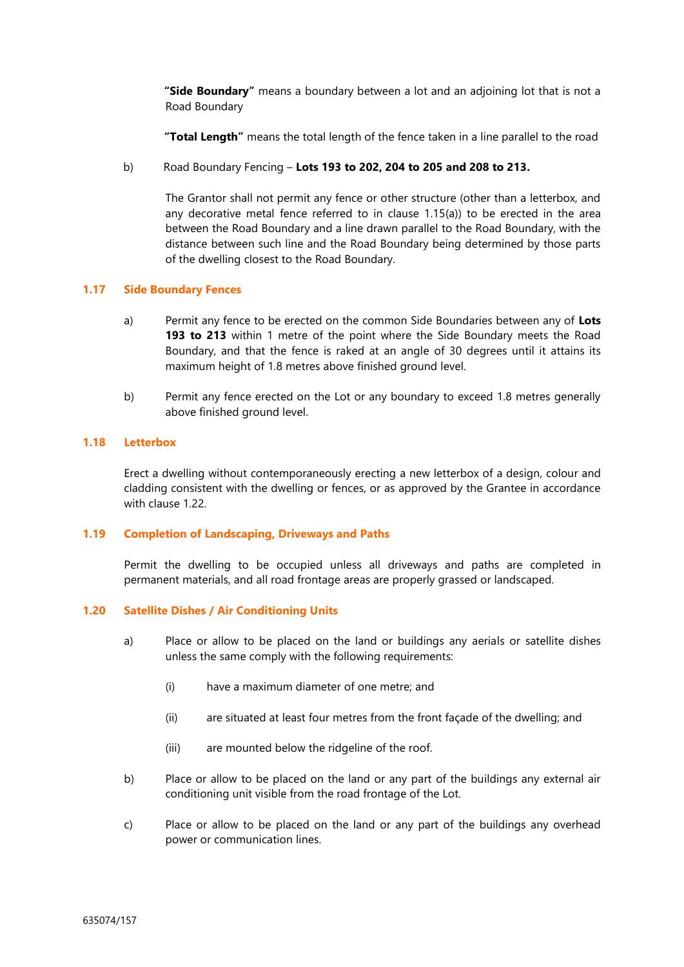**"Side Boundary"** means a boundary between a lot and an adjoining lot that is not a Road Boundary

**"Total Length"** means the total length of the fence taken in a line parallel to the road

## b) Road Boundary Fencing – **Lots 193 to 202, 204 to 205 and 208 to 213.**

The Grantor shall not permit any fence or other structure (other than a letterbox, and any decorative metal fence referred to in clause 1.15(a)) to be erected in the area between the Road Boundary and a line drawn parallel to the Road Boundary, with the distance between such line and the Road Boundary being determined by those parts of the dwelling closest to the Road Boundary.

## **1.17 Side Boundary Fences**

- a) Permit any fence to be erected on the common Side Boundaries between any of **Lots 193 to 213** within 1 metre of the point where the Side Boundary meets the Road Boundary, and that the fence is raked at an angle of 30 degrees until it attains its maximum height of 1.8 metres above finished ground level.
- b) Permit any fence erected on the Lot or any boundary to exceed 1.8 metres generally above finished ground level.

## **1.18 Letterbox**

Erect a dwelling without contemporaneously erecting a new letterbox of a design, colour and cladding consistent with the dwelling or fences, or as approved by the Grantee in accordance with clause 1.22.

## **1.19 Completion of Landscaping, Driveways and Paths**

Permit the dwelling to be occupied unless all driveways and paths are completed in permanent materials, and all road frontage areas are properly grassed or landscaped.

### **1.20 Satellite Dishes / Air Conditioning Units**

- a) Place or allow to be placed on the land or buildings any aerials or satellite dishes unless the same comply with the following requirements:
	- (i) have a maximum diameter of one metre; and
	- (ii) are situated at least four metres from the front façade of the dwelling; and
	- (iii) are mounted below the ridgeline of the roof.
- b) Place or allow to be placed on the land or any part of the buildings any external air conditioning unit visible from the road frontage of the Lot.
- c) Place or allow to be placed on the land or any part of the buildings any overhead power or communication lines.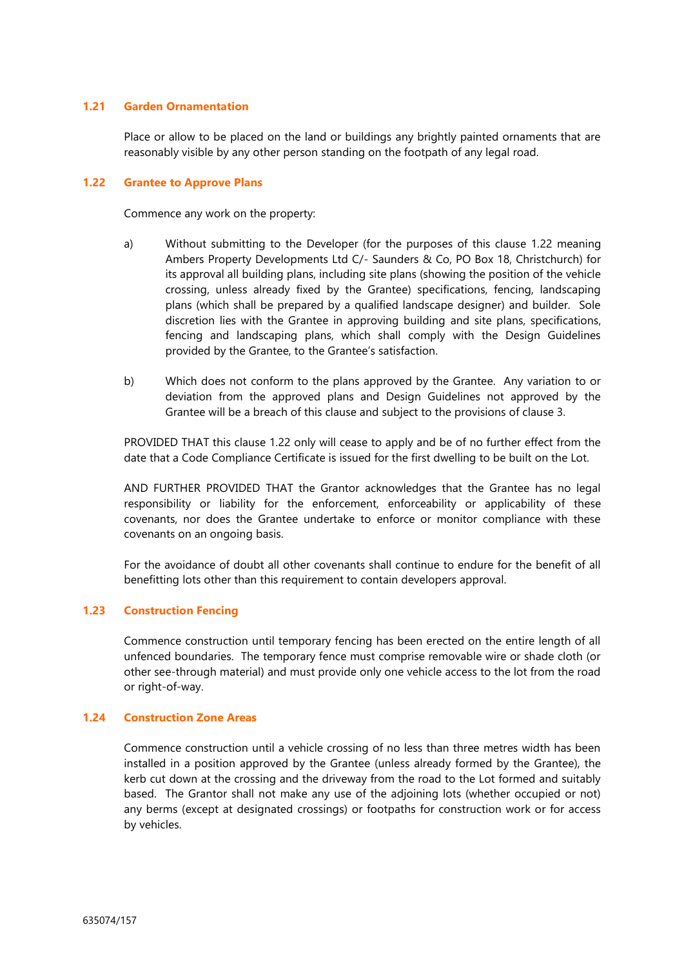## **1.21 Garden Ornamentation**

Place or allow to be placed on the land or buildings any brightly painted ornaments that are reasonably visible by any other person standing on the footpath of any legal road.

### **1.22 Grantee to Approve Plans**

Commence any work on the property:

- a) Without submitting to the Developer (for the purposes of this clause 1.22 meaning Ambers Property Developments Ltd C/- Saunders & Co, PO Box 18, Christchurch) for its approval all building plans, including site plans (showing the position of the vehicle crossing, unless already fixed by the Grantee) specifications, fencing, landscaping plans (which shall be prepared by a qualified landscape designer) and builder. Sole discretion lies with the Grantee in approving building and site plans, specifications, fencing and landscaping plans, which shall comply with the Design Guidelines provided by the Grantee, to the Grantee's satisfaction.
- b) Which does not conform to the plans approved by the Grantee. Any variation to or deviation from the approved plans and Design Guidelines not approved by the Grantee will be a breach of this clause and subject to the provisions of clause 3.

PROVIDED THAT this clause 1.22 only will cease to apply and be of no further effect from the date that a Code Compliance Certificate is issued for the first dwelling to be built on the Lot.

AND FURTHER PROVIDED THAT the Grantor acknowledges that the Grantee has no legal responsibility or liability for the enforcement, enforceability or applicability of these covenants, nor does the Grantee undertake to enforce or monitor compliance with these covenants on an ongoing basis.

For the avoidance of doubt all other covenants shall continue to endure for the benefit of all benefitting lots other than this requirement to contain developers approval.

# **1.23 Construction Fencing**

Commence construction until temporary fencing has been erected on the entire length of all unfenced boundaries. The temporary fence must comprise removable wire or shade cloth (or other see-through material) and must provide only one vehicle access to the lot from the road or right-of-way.

## **1.24 Construction Zone Areas**

Commence construction until a vehicle crossing of no less than three metres width has been installed in a position approved by the Grantee (unless already formed by the Grantee), the kerb cut down at the crossing and the driveway from the road to the Lot formed and suitably based. The Grantor shall not make any use of the adjoining lots (whether occupied or not) any berms (except at designated crossings) or footpaths for construction work or for access by vehicles.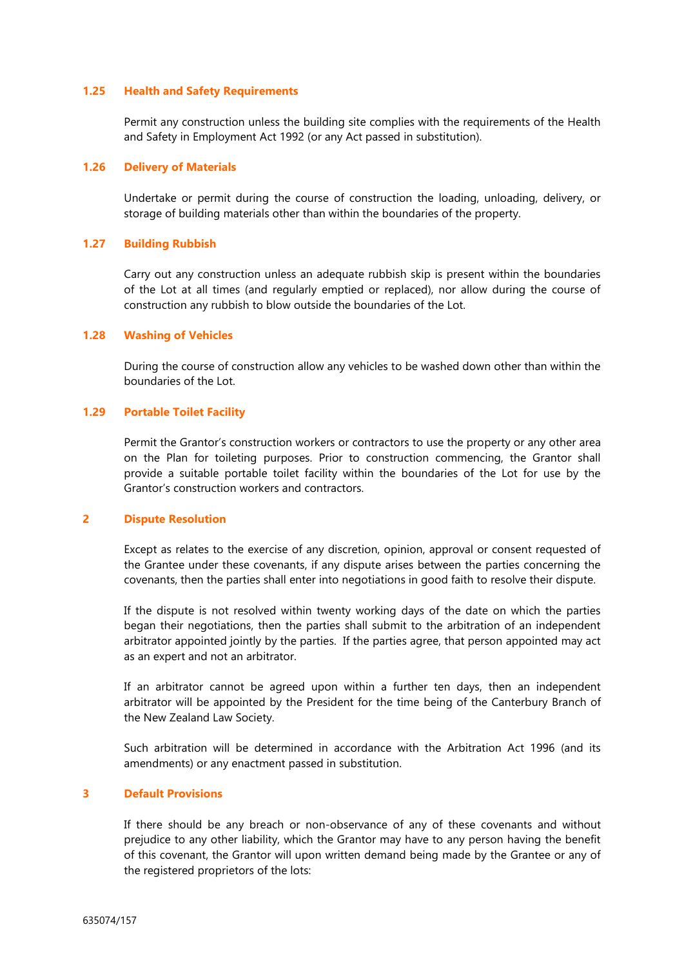#### **1.25 Health and Safety Requirements**

Permit any construction unless the building site complies with the requirements of the Health and Safety in Employment Act 1992 (or any Act passed in substitution).

### **1.26 Delivery of Materials**

Undertake or permit during the course of construction the loading, unloading, delivery, or storage of building materials other than within the boundaries of the property.

## **1.27 Building Rubbish**

Carry out any construction unless an adequate rubbish skip is present within the boundaries of the Lot at all times (and regularly emptied or replaced), nor allow during the course of construction any rubbish to blow outside the boundaries of the Lot.

## **1.28 Washing of Vehicles**

During the course of construction allow any vehicles to be washed down other than within the boundaries of the Lot.

### **1.29 Portable Toilet Facility**

Permit the Grantor's construction workers or contractors to use the property or any other area on the Plan for toileting purposes. Prior to construction commencing, the Grantor shall provide a suitable portable toilet facility within the boundaries of the Lot for use by the Grantor's construction workers and contractors.

#### **2 Dispute Resolution**

Except as relates to the exercise of any discretion, opinion, approval or consent requested of the Grantee under these covenants, if any dispute arises between the parties concerning the covenants, then the parties shall enter into negotiations in good faith to resolve their dispute.

If the dispute is not resolved within twenty working days of the date on which the parties began their negotiations, then the parties shall submit to the arbitration of an independent arbitrator appointed jointly by the parties. If the parties agree, that person appointed may act as an expert and not an arbitrator.

If an arbitrator cannot be agreed upon within a further ten days, then an independent arbitrator will be appointed by the President for the time being of the Canterbury Branch of the New Zealand Law Society.

Such arbitration will be determined in accordance with the Arbitration Act 1996 (and its amendments) or any enactment passed in substitution.

# **3 Default Provisions**

If there should be any breach or non-observance of any of these covenants and without prejudice to any other liability, which the Grantor may have to any person having the benefit of this covenant, the Grantor will upon written demand being made by the Grantee or any of the registered proprietors of the lots: